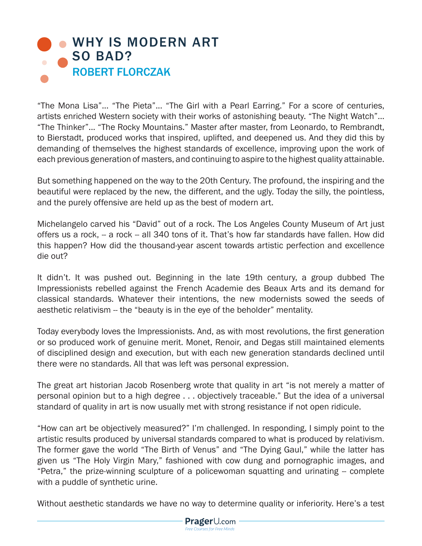

"The Mona Lisa"... "The Pieta"... "The Girl with a Pearl Earring." For a score of centuries, artists enriched Western society with their works of astonishing beauty. "The Night Watch"... "The Thinker"... "The Rocky Mountains." Master after master, from Leonardo, to Rembrandt, to Bierstadt, produced works that inspired, uplifted, and deepened us. And they did this by demanding of themselves the highest standards of excellence, improving upon the work of each previous generation of masters, and continuing to aspire to the highest quality attainable.

But something happened on the way to the 20th Century. The profound, the inspiring and the beautiful were replaced by the new, the different, and the ugly. Today the silly, the pointless, and the purely offensive are held up as the best of modern art.

Michelangelo carved his "David" out of a rock. The Los Angeles County Museum of Art just offers us a rock, -- a rock -- all 340 tons of it. That's how far standards have fallen. How did this happen? How did the thousand-year ascent towards artistic perfection and excellence die out?

It didn't. It was pushed out. Beginning in the late 19th century, a group dubbed The Impressionists rebelled against the French Academie des Beaux Arts and its demand for classical standards. Whatever their intentions, the new modernists sowed the seeds of aesthetic relativism -- the "beauty is in the eye of the beholder" mentality.

Today everybody loves the Impressionists. And, as with most revolutions, the first generation or so produced work of genuine merit. Monet, Renoir, and Degas still maintained elements of disciplined design and execution, but with each new generation standards declined until there were no standards. All that was left was personal expression.

The great art historian Jacob Rosenberg wrote that quality in art "is not merely a matter of personal opinion but to a high degree . . . objectively traceable." But the idea of a universal standard of quality in art is now usually met with strong resistance if not open ridicule.

"How can art be objectively measured?" I'm challenged. In responding, I simply point to the artistic results produced by universal standards compared to what is produced by relativism. The former gave the world "The Birth of Venus" and "The Dying Gaul," while the latter has given us "The Holy Virgin Mary," fashioned with cow dung and pornographic images, and "Petra," the prize-winning sculpture of a policewoman squatting and urinating -- complete with a puddle of synthetic urine.

Without aesthetic standards we have no way to determine quality or inferiority. Here's a test